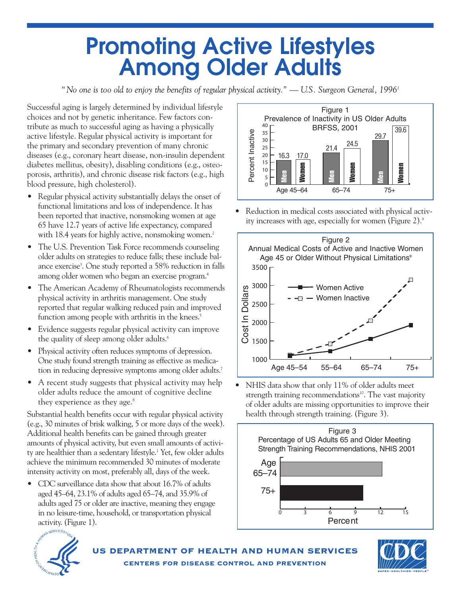# **Promoting Active Lifestyles Among Older Adults**

*"* No one is too old to enjoy the benefits of regular physical activity." — U.S. Surgeon General, 1996<sup>1</sup>

Successful aging is largely determined by individual lifestyle choices and not by genetic inheritance. Few factors contribute as much to successful aging as having a physically active lifestyle. Regular physical activity is important for the primary and secondary prevention of many chronic diseases (e.g., coronary heart disease, non-insulin dependent diabetes mellitus, obesity), disabling conditions (e.g., osteoporosis, arthritis), and chronic disease risk factors (e.g., high blood pressure, high cholesterol).

- Regular physical activity substantially delays the onset of functional limitations and loss of independence. It has been reported that inactive, nonsmoking women at age 65 have 12.7 years of active life expectancy, compared with 18.4 years for highly active, nonsmoking women.<sup>2</sup>
- The U.S. Prevention Task Force recommends counseling older adults on strategies to reduce falls; these include balance exercise<sup>3</sup>. One study reported a 58% reduction in falls among older women who began an exercise program.4
- The American Academy of Rheumatologists recommends physical activity in arthritis management. One study reported that regular walking reduced pain and improved function among people with arthritis in the knees.<sup>5</sup>
- Evidence suggests regular physical activity can improve the quality of sleep among older adults.<sup>6</sup>
- Physical activity often reduces symptoms of depression. One study found strength training as effective as medication in reducing depressive symptoms among older adults.7
- A recent study suggests that physical activity may help older adults reduce the amount of cognitive decline they experience as they age.<sup>8</sup>

Substantial health benefits occur with regular physical activity (e.g., 30 minutes of brisk walking, 5 or more days of the week). Additional health benefits can be gained through greater amounts of physical activity, but even small amounts of activity are healthier than a sedentary lifestyle.<sup>1</sup> Yet, few older adults achieve the minimum recommended 30 minutes of moderate intensity activity on most, preferably all, days of the week.

• CDC surveillance data show that about 16.7% of adults aged 45–64, 23.1% of adults aged 65–74, and 35.9% of adults aged 75 or older are inactive, meaning they engage in no leisure-time, household, or transportation physical activity. (Figure 1).



• Reduction in medical costs associated with physical activity increases with age, especially for women (Figure 2).9



• NHIS data show that only 11% of older adults meet strength training recommendations<sup>10</sup>. The vast majority of older adults are missing opportunities to improve their health through strength training. (Figure 3).





**US DEPARTMENT OF HEALTH AND HUMAN SERVICES CENTERS FOR DISEASE CONTROL AND PREVENTION**